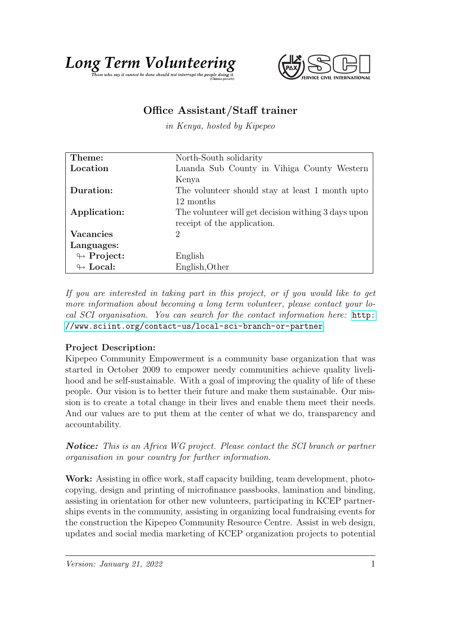



## Office Assistant/Staff trainer

in Kenya, hosted by Kipepeo

| Theme:                     | North-South solidarity                              |
|----------------------------|-----------------------------------------------------|
| Location                   | Luanda Sub County in Vihiga County Western          |
|                            | Kenya                                               |
| Duration:                  | The volunteer should stay at least 1 month upto     |
|                            | 12 months                                           |
| Application:               | The volunteer will get decision withing 3 days upon |
|                            | receipt of the application.                         |
| <b>Vacancies</b>           | 2                                                   |
| Languages:                 |                                                     |
| $\leftrightarrow$ Project: | English                                             |
| $\leftrightarrow$ Local:   | English, Other                                      |

If you are interested in taking part in this project, or if you would like to get more information about becoming a long term volunteer, please contact your local SCI organisation. You can search for the contact information here: [http:](http://www.sciint.org/contact-us/local-sci-branch-or-partner) [//www.sciint.org/contact-us/local-sci-branch-or-partner](http://www.sciint.org/contact-us/local-sci-branch-or-partner)

## Project Description:

Kipepeo Community Empowerment is a community base organization that was started in October 2009 to empower needy communities achieve quality livelihood and be self-sustainable. With a goal of improving the quality of life of these people. Our vision is to better their future and make them sustainable. Our mission is to create a total change in their lives and enable them meet their needs. And our values are to put them at the center of what we do, transparency and accountability.

**Notice:** This is an Africa WG project. Please contact the SCI branch or partner organisation in your country for further information.

Work: Assisting in office work, staff capacity building, team development, photocopying, design and printing of microfinance passbooks, lamination and binding, assisting in orientation for other new volunteers, participating in KCEP partnerships events in the community, assisting in organizing local fundraising events for the construction the Kipepeo Community Resource Centre. Assist in web design, updates and social media marketing of KCEP organization projects to potential